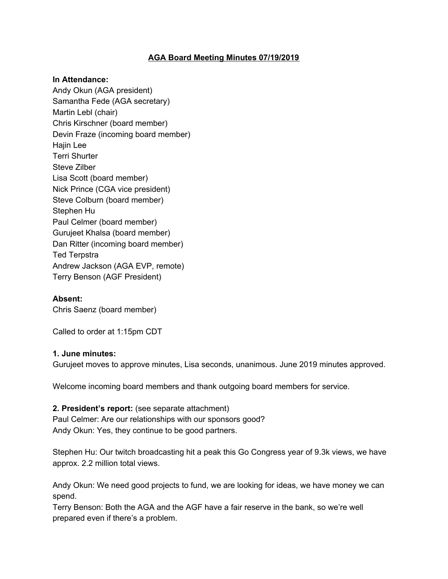## **AGA Board Meeting Minutes 07/19/2019**

#### **In Attendance:**

Andy Okun (AGA president) Samantha Fede (AGA secretary) Martin Lebl (chair) Chris Kirschner (board member) Devin Fraze (incoming board member) Hajin Lee Terri Shurter Steve Zilber Lisa Scott (board member) Nick Prince (CGA vice president) Steve Colburn (board member) Stephen Hu Paul Celmer (board member) Gurujeet Khalsa (board member) Dan Ritter (incoming board member) Ted Terpstra Andrew Jackson (AGA EVP, remote) Terry Benson (AGF President)

### **Absent:**

Chris Saenz (board member)

Called to order at 1:15pm CDT

#### **1. June minutes:**

Gurujeet moves to approve minutes, Lisa seconds, unanimous. June 2019 minutes approved.

Welcome incoming board members and thank outgoing board members for service.

#### **2. President's report:** (see separate attachment)

Paul Celmer: Are our relationships with our sponsors good? Andy Okun: Yes, they continue to be good partners.

Stephen Hu: Our twitch broadcasting hit a peak this Go Congress year of 9.3k views, we have approx. 2.2 million total views.

Andy Okun: We need good projects to fund, we are looking for ideas, we have money we can spend.

Terry Benson: Both the AGA and the AGF have a fair reserve in the bank, so we're well prepared even if there's a problem.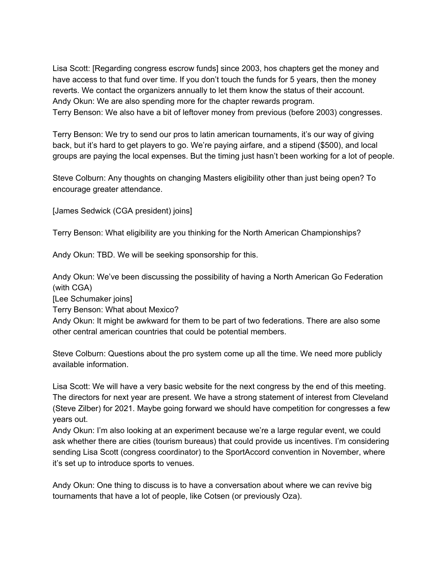Lisa Scott: [Regarding congress escrow funds] since 2003, hos chapters get the money and have access to that fund over time. If you don't touch the funds for 5 years, then the money reverts. We contact the organizers annually to let them know the status of their account. Andy Okun: We are also spending more for the chapter rewards program. Terry Benson: We also have a bit of leftover money from previous (before 2003) congresses.

Terry Benson: We try to send our pros to latin american tournaments, it's our way of giving back, but it's hard to get players to go. We're paying airfare, and a stipend (\$500), and local groups are paying the local expenses. But the timing just hasn't been working for a lot of people.

Steve Colburn: Any thoughts on changing Masters eligibility other than just being open? To encourage greater attendance.

[James Sedwick (CGA president) joins]

Terry Benson: What eligibility are you thinking for the North American Championships?

Andy Okun: TBD. We will be seeking sponsorship for this.

Andy Okun: We've been discussing the possibility of having a North American Go Federation (with CGA)

[Lee Schumaker joins]

Terry Benson: What about Mexico?

Andy Okun: It might be awkward for them to be part of two federations. There are also some other central american countries that could be potential members.

Steve Colburn: Questions about the pro system come up all the time. We need more publicly available information.

Lisa Scott: We will have a very basic website for the next congress by the end of this meeting. The directors for next year are present. We have a strong statement of interest from Cleveland (Steve Zilber) for 2021. Maybe going forward we should have competition for congresses a few years out.

Andy Okun: I'm also looking at an experiment because we're a large regular event, we could ask whether there are cities (tourism bureaus) that could provide us incentives. I'm considering sending Lisa Scott (congress coordinator) to the SportAccord convention in November, where it's set up to introduce sports to venues.

Andy Okun: One thing to discuss is to have a conversation about where we can revive big tournaments that have a lot of people, like Cotsen (or previously Oza).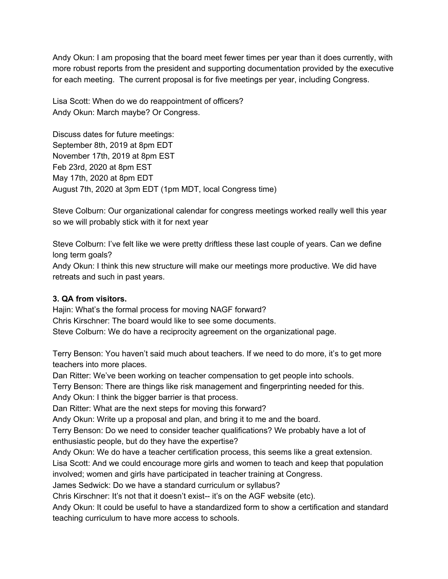Andy Okun: I am proposing that the board meet fewer times per year than it does currently, with more robust reports from the president and supporting documentation provided by the executive for each meeting. The current proposal is for five meetings per year, including Congress.

Lisa Scott: When do we do reappointment of officers? Andy Okun: March maybe? Or Congress.

Discuss dates for future meetings: September 8th, 2019 at 8pm EDT November 17th, 2019 at 8pm EST Feb 23rd, 2020 at 8pm EST May 17th, 2020 at 8pm EDT August 7th, 2020 at 3pm EDT (1pm MDT, local Congress time)

Steve Colburn: Our organizational calendar for congress meetings worked really well this year so we will probably stick with it for next year

Steve Colburn: I've felt like we were pretty driftless these last couple of years. Can we define long term goals?

Andy Okun: I think this new structure will make our meetings more productive. We did have retreats and such in past years.

# **3. QA from visitors.**

Hajin: What's the formal process for moving NAGF forward? Chris Kirschner: The board would like to see some documents. Steve Colburn: We do have a reciprocity agreement on the organizational page.

Terry Benson: You haven't said much about teachers. If we need to do more, it's to get more teachers into more places.

Dan Ritter: We've been working on teacher compensation to get people into schools.

Terry Benson: There are things like risk management and fingerprinting needed for this.

Andy Okun: I think the bigger barrier is that process.

Dan Ritter: What are the next steps for moving this forward?

Andy Okun: Write up a proposal and plan, and bring it to me and the board.

Terry Benson: Do we need to consider teacher qualifications? We probably have a lot of enthusiastic people, but do they have the expertise?

Andy Okun: We do have a teacher certification process, this seems like a great extension.

Lisa Scott: And we could encourage more girls and women to teach and keep that population involved; women and girls have participated in teacher training at Congress.

James Sedwick: Do we have a standard curriculum or syllabus?

Chris Kirschner: It's not that it doesn't exist-- it's on the AGF website (etc).

Andy Okun: It could be useful to have a standardized form to show a certification and standard teaching curriculum to have more access to schools.